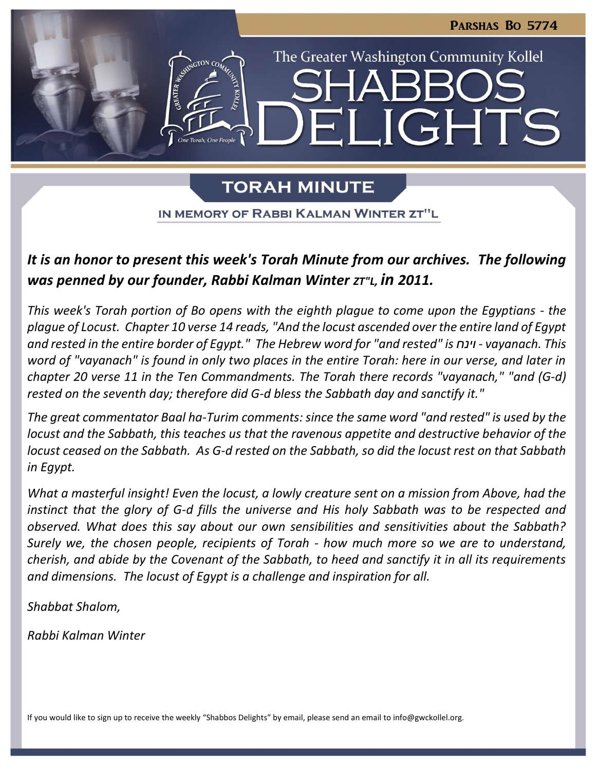IGHTS

The Greater Washington Community Kollel

# **TORAH MINUTE**

IN MEMORY OF RABBI KALMAN WINTER ZT"L

# *It is an honor to present this week's Torah Minute from our archives. The following was penned by our founder, Rabbi Kalman Winter ZT"L, in 2011.*

*This week's Torah portion of Bo opens with the eighth plague to come upon the Egyptians - the plague of Locust. Chapter 10 verse 14 reads, "And the locust ascended over the entire land of Egypt and rested in the entire border of Egypt." The Hebrew word for "and rested" is וינח - vayanach. This word of "vayanach" is found in only two places in the entire Torah: here in our verse, and later in chapter 20 verse 11 in the Ten Commandments. The Torah there records "vayanach," "and (G-d) rested on the seventh day; therefore did G-d bless the Sabbath day and sanctify it."*

*The great commentator Baal ha-Turim comments: since the same word "and rested" is used by the locust and the Sabbath, this teaches us that the ravenous appetite and destructive behavior of the locust ceased on the Sabbath. As G-d rested on the Sabbath, so did the locust rest on that Sabbath in Egypt.*

*What a masterful insight! Even the locust, a lowly creature sent on a mission from Above, had the instinct that the glory of G-d fills the universe and His holy Sabbath was to be respected and observed. What does this say about our own sensibilities and sensitivities about the Sabbath? Surely we, the chosen people, recipients of Torah - how much more so we are to understand, cherish, and abide by the Covenant of the Sabbath, to heed and sanctify it in all its requirements and dimensions. The locust of Egypt is a challenge and inspiration for all.*

*Shabbat Shalom,*

*Rabbi Kalman Winter*

If you would like to sign up to receive the weekly "Shabbos Delights" by email, please send an email to [info@gwckollel.org](mailto:info@gwckollel.org).